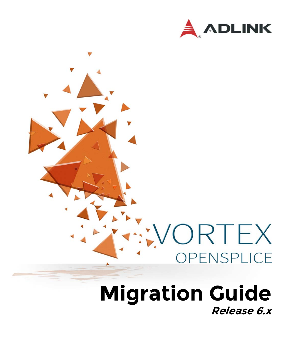



## **Migration Guide Release 6.x**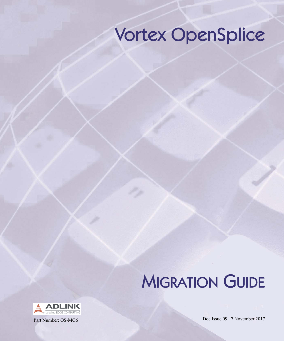## Vortex OpenSplice

## **MIGRATION GUIDE**



Part Number: OS-MG6 Doc Issue 09, 7 November 2017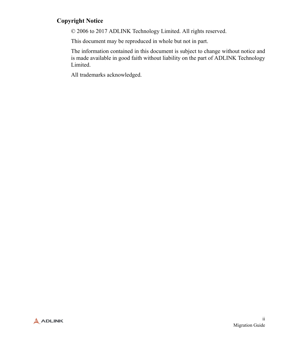#### **Copyright Notice**

© 2006 to 2017 ADLINK Technology Limited. All rights reserved.

This document may be reproduced in whole but not in part.

The information contained in this document is subject to change without notice and is made available in good faith without liability on the part of ADLINK Technology Limited.

All trademarks acknowledged.

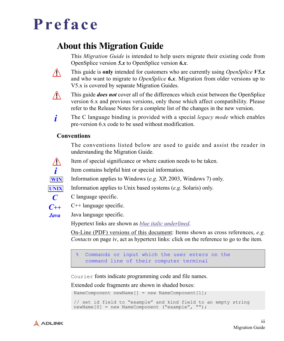## **Preface**

### **About this Migration Guide**

This *Migration Guide* is intended to help users migrate their existing code from OpenSplice version *5.x* to OpenSplice version *6.x*.



This guide is **only** intended for customers who are currently using *OpenSplice V5.x* and who want to migrate to *OpenSplice 6.x*. Migration from older versions up to V5.x is covered by separate Migration Guides.

∕∖∖

This guide *does not* cover all of the differences which exist between the OpenSplice version 6.x and previous versions, only those which affect compatibility. Please refer to the Release Notes for a complete list of the changes in the new version.

The C language binding is provided with a special *legacy mode* which enables pre-version 6.x code to be used without modification. *i*

#### **Conventions**

The conventions listed below are used to guide and assist the reader in understanding the Migration Guide.



Item of special significance or where caution needs to be taken.

Item contains helpful hint or special information.



*C*

Information applies to Windows (*e.g.* XP, 2003, Windows 7) only.

Information applies to Unix based systems (*e.g.* Solaris) only.

- C language specific.
- C++ language specific. *C++*

*Java*

Java language specific.

Hypertext links are shown as *blue italic underlined*.

On-Line (PDF) versions of this document: Items shown as cross references, *e.g. Contacts* [on page iv,](#page-5-0) act as hypertext links: click on the reference to go to the item.

% Commands or input which the user enters on the command line of their computer terminal

Courier fonts indicate programming code and file names.

Extended code fragments are shown in shaded boxes:

NameComponent newName $[]$  = new NameComponent $[1]$ ;

```
 // set id field to "example" and kind field to an empty string
 newName[0] = new NameComponent ("example", "");
```
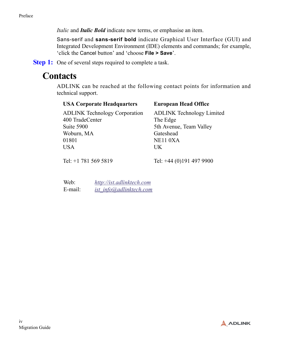*Italic* and *Italic Bold* indicate new terms, or emphasise an item.

Sans-serif and **sans-serif bold** indicate Graphical User Interface (GUI) and Integrated Development Environment (IDE) elements and commands; for example, 'click the Cancel button' and 'choose **File > Save**'.

<span id="page-5-0"></span>**Step 1:** One of several steps required to complete a task.

### **Contacts**

ADLINK can be reached at the following contact points for information and technical support.

| <b>USA Corporate Headquarters</b>    | <b>European Head Office</b>           |
|--------------------------------------|---------------------------------------|
| <b>ADLINK Technology Corporation</b> | <b>ADLINK Technology Limited</b>      |
| 400 TradeCenter                      | The Edge                              |
| Suite 5900                           | 5th Avenue, Team Valley               |
| Woburn, MA                           | Gateshead                             |
| 01801                                | NE11 0XA                              |
| <b>USA</b>                           | UK                                    |
|                                      |                                       |
| $T-1.$ $1.701$ $F/A$ $F010$          | $T_{\rm e}$ 1. 14. (0) 101. 107. 0000 |

Tel: +1 781 569 5819

Tel: +44 (0)191 497 9900

| Web:    | http://ist.adlinktech.com |
|---------|---------------------------|
| E-mail: | ist info@adlinktech.com   |

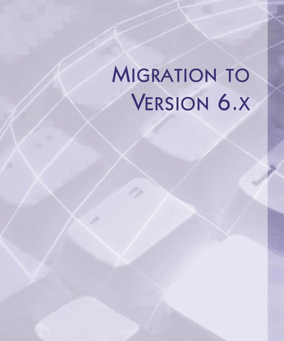# **MIGRATION TO** VERSION 6.X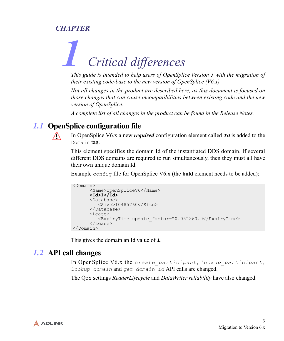#### *CHAPTER*

# *1 Critical differences*

*This guide is intended to help users of OpenSplice Version 5 with the migration of their existing code-base to the new version of OpenSplice (V6.x).*

*Not all changes in the product are described here, as this document is focused on those changes that can cause incompatibilities between existing code and the new version of OpenSplice.*

*A complete list of all changes in the product can be found in the Release Notes.*

#### *1.1* **OpenSplice configuration file**

 $\bigwedge$ 

In OpenSplice V6.x a new *required* configuration element called *Id* is added to the Domain tag.

This element specifies the domain Id of the instantiated DDS domain. If several different DDS domains are required to run simultaneously, then they must all have their own unique domain Id.

Example config file for OpenSplice V6.x (the **bold** element needs to be added):

```
<Domain>
       <Name>OpenSpliceV6</Name>
       <Id>1</Id> 
       <Database>
          <Size>10485760</Size>
       </Database>
       <Lease>
          <ExpiryTime update_factor="0.05">60.0</ExpiryTime>
       </Lease>
</Domain>
```
This gives the domain an Id value of **1**.

#### *1.2* **API call changes**

In OpenSplice V6.x the *create\_participant*, *lookup\_participant*, *lookup\_domain* and *get\_domain\_id* API calls are changed.

The QoS settings *ReaderLifecycle* and *DataWriter reliability* have also changed.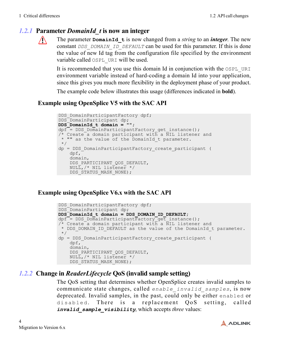#### *1.2.1* **Parameter** *DomainId\_t* **is now an integer**



The parameter **DomainId\_t** is now changed from a *string* to an *integer*. The new constant *DDS\_DOMAIN\_ID\_DEFAULT* can be used for this parameter. If this is done the value of new Id tag from the configuration file specified by the environment variable called OSPL\_URI will be used.

It is recommended that you use this domain Id in conjunction with the OSPL\_URI environment variable instead of hard-coding a domain Id into your application, since this gives you much more flexibility in the deployment phase of your product.

The example code below illustrates this usage (differences indicated in **bold**).

#### **Example using OpenSplice V5 with the SAC API**

```
DDS DomainParticipantFactory dpf;
DDS_DomainParticipant dp;
DDS_DomainId_t domain = "";
dpf = DDS DomainParticipantFactory get instance();
\sqrt{*} Create a domain participant with a NIL listener and
 * "" as the value of the DomainId_t parameter.
 */
dp = DDS_DomainParticipantFactory_create_participant (
     dpf,
     domain,
    DDS_PARTICIPANT_QOS_DEFAULT,
    NULL, /* NIL listener */DDS STATUS MASK NONE);
```
#### **Example using OpenSplice V6.x with the SAC API**

```
DDS DomainParticipantFactory dpf;
DDS DomainParticipant dp;
DDS_DomainId_t domain = DDS_DOMAIN_ID_DEFAULT;
dpf = DDS DomainParticipantFactory get instance();
/* Create a domain participant with a NIL listener and
* DDS DOMAIN ID DEFAULT as the value of the DomainId t parameter.
 */
dp = DDS_DomainParticipantFactory_create_participant (
     dpf,
     domain,
     DDS_PARTICIPANT_QOS_DEFAULT,
     NULL,/* NIL listener */
    DDS STATUS MASK NONE);
```
#### *1.2.2* **Change in** *ReaderLifecycle* **QoS (invalid sample setting)**

The QoS setting that determines whether OpenSplice creates invalid samples to communicate state changes, called *enable\_invalid\_samples*, is now deprecated. Invalid samples, in the past, could only be either enabled or disabled. There is a replacement QoS setting, called *invalid\_sample\_visibility*, which accepts *three* values:

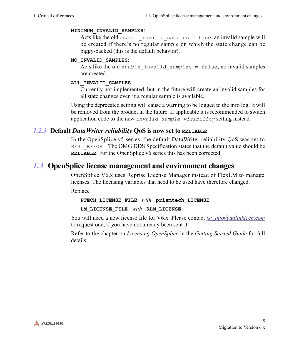#### **MINIMUM\_INVALID\_SAMPLES**:

Acts like the old enable invalid samples  $=$  true, an invalid sample will be created if there's no regular sample on which the state change can be piggy-backed (this is the default behavior).

#### **NO\_INVALID\_SAMPLES**:

Acts like the old enable invalid samples = false, no invalid samples are created.

#### **ALL\_INVALID\_SAMPLES**:

Currently not implemented, but in the future will create an invalid samples for all state changes even if a regular sample is available.

Using the deprecated setting will cause a warning to be logged to the info log. It will be removed from the product in the future. If applicable it is recommended to switch application code to the new *invalid\_sample\_visibility* setting instead.

#### *1.2.3* **Default** *DataWriter reliability* **QoS is now set to RELIABLE**

In the OpenSplice v5 series, the default DataWriter reliability QoS was set to BEST\_EFFORT. The OMG DDS Specification states that the default value should be **RELIABLE**. For the OpenSplice v6 series this has been corrected.

#### *1.3* **OpenSplice license management and environment changes**

OpenSplice V6.x uses Reprise License Manager instead of FlexLM to manage licenses. The licensing variables that need to be used have therefore changed.

Replace

#### **PTECH\_LICENSE\_FILE** *with* **prismtech\_LICENSE**

#### **LM\_LICENSE\_FILE** *with* **RLM\_LICENSE**

[You will need a new license file for V6.x. Please contact](mailto: ist_info@adlinktech.com) *ist\_info@adlinktech.com* to request one, if you have not already been sent it.

Refer to the chapter on *Licensing OpenSplice* in the *Getting Started Guide* for full details.